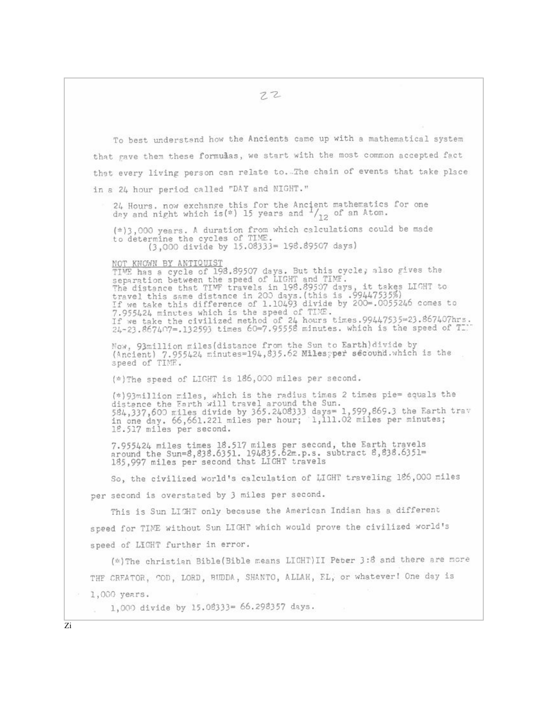$22$ To best understand how the Ancients came up with a mathematical system that rave them these formulas, we start with the most common accepted fact that every living person can relate to. The chain of events that take place in a 24 hour period called "DAY and NIGHT." 24 Hours. now exchange this for the Ancient mathematics for one day and night which is(\*) 15 years and  $\frac{1}{12}$  of an Atom. (\*) 3,000 years. A duration from which calculations could be made to determine the cycles of TIME. (3,000 divide by 15.08333= 198.89507 days) NOT KNOWN BY ANTIQUIST TIME has a cycle of 198.89507 days. But this cycle; also gives the separation between the speed of LIGHT and TIME.<br>The distance that TIMF travels in 198.89507 days, it takes LIGHT to<br>travel this same distance in 200 days.(this is .99447535%)<br>If we take this difference of 1.10493 divide by 11 we take this difference of 1.10493 divide by 200-.0033240 domes 00<br>7.955424 minutes which is the speed of TIME.<br>If we take the civilized method of 24 hours times.99447535=23.867407hrs.<br>24-23.867407=.132593 times 60=7.95 Now, 93million miles(distance from the Sun to Earth)divide by<br>(Ancient) 7.955424 minutes=194,835.62 Milesgper secound.which is the<br>speed of TIME. (\*) The speed of LIGHT is 186,000 miles per second. (\*) 93 million miles, which is the radius times 2 times pie= equals the distance the Earth will travel around the Sun.<br>584,337,600 miles divide by 365.2408333 days= 1,599,869.3 the Earth trav<br>in one day. 66,661.221 miles per hour; 1,111.02 miles per minutes;<br>18.517 miles per second. 7.955424 miles times 18.517 miles per second, the Earth travels<br>around the Sun=8,838.6351. 194835.62m.p.s. subtract 8,838.6351=<br>185,997 miles per second that LIGHT travels So, the civilized world's calculation of LIGHT traveling 126,000 miles per second is overstated by 3 miles per second. This is Sun LIGHT only because the American Indian has a different speed for TIME without Sun LIGHT which would prove the civilized world's speed of LICHT further in error. (\*) The christian Bible (Bible means LICHT) II Peter 3:8 and there are more THE CREATOR, COD, LORD, BUDDA, SHANTO, ALLAH, FL, or whatever! One day is 1,000 years. 1,000 divide by 15.08333= 66.298357 days.